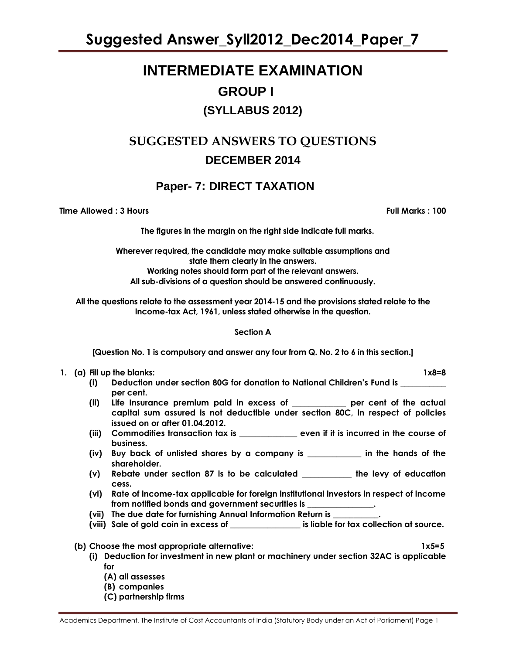**Suggested Answer\_Syll2012\_Dec2014\_Paper\_7**

### **INTERMEDIATE EXAMINATION GROUP I (SYLLABUS 2012)**

### **SUGGESTED ANSWERS TO QUESTIONS DECEMBER 2014**

### **Paper- 7: DIRECT TAXATION**

**Time Allowed : 3 Hours Full Marks : 100**

**The figures in the margin on the right side indicate full marks.**

**Wherever required, the candidate may make suitable assumptions and state them clearly in the answers. Working notes should form part of the relevant answers. All sub-divisions of a question should be answered continuously.**

**All the questions relate to the assessment year 2014-15 and the provisions stated relate to the Income-tax Act, 1961, unless stated otherwise in the question.**

#### **Section A**

**[Question No. 1 is compulsory and answer any four from Q. No. 2 to 6 in this section.]**

#### **1. (a) Fill up the blanks: 1x8=8**

- **(i) Deduction under section 80G for donation to National Children"s Fund is \_\_\_\_\_\_\_\_\_\_\_ per cent.**
- **(ii) Life Insurance premium paid in excess of \_\_\_\_\_\_\_\_\_\_\_\_\_ per cent of the actual capital sum assured is not deductible under section 80C, in respect of policies issued on or after 01.04.2012.**
- **(iii) Commodities transaction tax is \_\_\_\_\_\_\_\_\_\_\_\_\_\_ even if it is incurred in the course of business.**
- **(iv) Buy back of unlisted shares by a company is \_\_\_\_\_\_\_\_\_\_\_\_\_ in the hands of the shareholder.**
- **(v) Rebate under section 87 is to be calculated \_\_\_\_\_\_\_\_\_\_\_\_ the levy of education cess.**
- **(vi) Rate of income-tax applicable for foreign institutional investors in respect of income from notified bonds and government securities is \_\_\_\_\_\_\_\_\_\_\_\_\_\_\_\_.**
- **(vii) The due date for furnishing Annual Information Return is \_\_\_\_\_\_\_\_\_\_\_.**
- **(viii) Sale of gold coin in excess of \_\_\_\_\_\_\_\_\_\_\_\_\_\_\_\_\_ is liable for tax collection at source.**
- **(b) Choose the most appropriate alternative: 1x5=5**
	- **(i) Deduction for investment in new plant or machinery under section 32AC is applicable for**
		- **(A) all assesses**
		- **(B) companies**
		- **(C) partnership firms**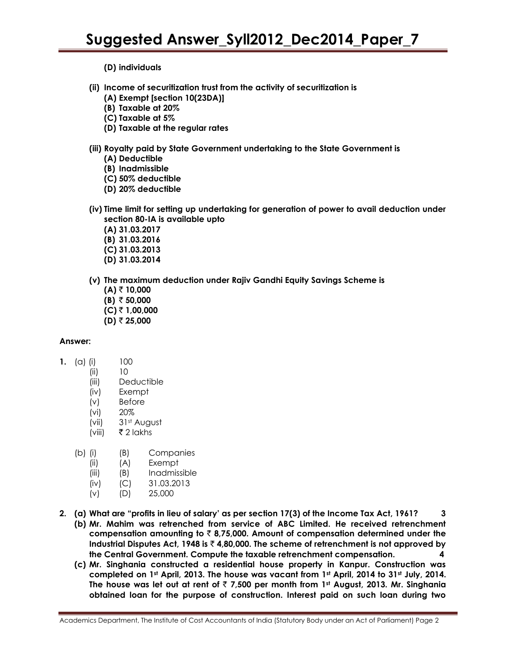**(D) individuals**

- **(ii) Income of securitization trust from the activity of securitization is** 
	- **(A) Exempt [section 10(23DA)]**
	- **(B) Taxable at 20%**
	- **(C) Taxable at 5%**
	- **(D) Taxable at the regular rates**
- **(iii) Royalty paid by State Government undertaking to the State Government is**
	- **(A) Deductible** 
		- **(B) Inadmissible**
		- **(C) 50% deductible**
	- **(D) 20% deductible**
- **(iv) Time limit for setting up undertaking for generation of power to avail deduction under section 80-IA is available upto**
	- **(A) 31.03.2017**
	- **(B) 31.03.2016**
	- **(C) 31.03.2013**
	- **(D) 31.03.2014**
- **(v) The maximum deduction under Rajiv Gandhi Equity Savings Scheme is** 
	- **(A)** ` **10,000 (B)**  $\bar{z}$  50,000 **(C)** ` **1,00,000**
	- $(D)$  ₹ 25,000

#### **Answer:**

- **1.** (a) (i) 100
	- (ii) 10
	- (iii) Deductible
	- (iv) Exempt
	- (v) Before
	- (vi) 20%
	- (vii) 31st August
	- $(viii)$   $\bar{\bar{\bar{z}}}$  2 lakhs
	- (b) (i) (B) Companies
		- (ii) (A) Exempt
		- (iii) (B) Inadmissible
		- (iv) (C) 31.03.2013
		- (v) (D) 25,000
- **2. (a) What are "profits in lieu of salary" as per section 17(3) of the Income Tax Act, 1961? 3 (b) Mr. Mahim was retrenched from service of ABC Limited. He received retrenchment compensation amounting to** ` **8,75,000. Amount of compensation determined under the Industrial Disputes Act, 1948 is** ` **4,80,000. The scheme of retrenchment is not approved by the Central Government. Compute the taxable retrenchment compensation. 4**
	- **(c) Mr. Singhania constructed a residential house property in Kanpur. Construction was completed on 1st April, 2013. The house was vacant from 1st April, 2014 to 31st July, 2014. The house was let out at rent of** ` **7,500 per month from 1st August, 2013. Mr. Singhania obtained loan for the purpose of construction. Interest paid on such loan during two**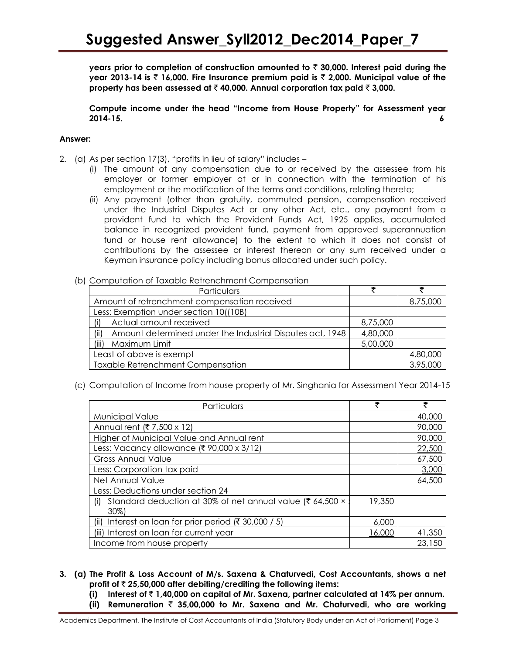**years prior to completion of construction amounted to** ` **30,000. Interest paid during the year 2013-14 is** ` **16,000. Fire Insurance premium paid is** ` **2,000. Municipal value of the property has been assessed at** ` **40,000. Annual corporation tax paid** ` **3,000.**

**Compute income under the head "Income from House Property" for Assessment year 2014-15. 6**

#### **Answer:**

- 2. (a) As per section 17(3), "profits in lieu of salary" includes
	- (i) The amount of any compensation due to or received by the assessee from his employer or former employer at or in connection with the termination of his employment or the modification of the terms and conditions, relating thereto;
	- (ii) Any payment (other than gratuity, commuted pension, compensation received under the Industrial Disputes Act or any other Act, etc., any payment from a provident fund to which the Provident Funds Act, 1925 applies, accumulated balance in recognized provident fund, payment from approved superannuation fund or house rent allowance) to the extent to which it does not consist of contributions by the assessee or interest thereon or any sum received under a Keyman insurance policy including bonus allocated under such policy.

#### (b) Computation of Taxable Retrenchment Compensation

| Particulars                                                       |          |          |
|-------------------------------------------------------------------|----------|----------|
| Amount of retrenchment compensation received                      |          | 8,75,000 |
| Less: Exemption under section 10((10B)                            |          |          |
| Actual amount received<br>(i)                                     | 8,75,000 |          |
| Amount determined under the Industrial Disputes act, 1948<br>(ii) | 4,80,000 |          |
| (iii)<br>Maximum Limit                                            | 5,00,000 |          |
| Least of above is exempt                                          |          | 4,80,000 |
| <b>Taxable Retrenchment Compensation</b>                          |          | 3,95,000 |

(c) Computation of Income from house property of Mr. Singhania for Assessment Year 2014-15

| Particulars                                                                | ₹      | ₹      |
|----------------------------------------------------------------------------|--------|--------|
| Municipal Value                                                            |        | 40,000 |
| Annual rent (₹ 7,500 x 12)                                                 |        | 90,000 |
| Higher of Municipal Value and Annual rent                                  |        | 90,000 |
| Less: Vacancy allowance (₹ 90,000 x 3/12)                                  |        | 22,500 |
| <b>Gross Annual Value</b>                                                  |        | 67,500 |
| Less: Corporation tax paid                                                 |        | 3,000  |
| Net Annual Value                                                           |        | 64,500 |
| Less: Deductions under section 24                                          |        |        |
| Standard deduction at 30% of net annual value (₹ 64,500 ×<br>(i)<br>$30\%$ | 19,350 |        |
| Interest on loan for prior period (₹ 30,000 / 5)<br>(ii)                   | 6,000  |        |
| (iii) Interest on loan for current year                                    | 16,000 | 41,350 |
| Income from house property                                                 |        | 23,150 |

- **3. (a) The Profit & Loss Account of M/s. Saxena & Chaturvedi, Cost Accountants, shows a net profit of** ` **25,50,000 after debiting/crediting the following items:**
	- **(i) Interest of** ` **1,40,000 on capital of Mr. Saxena, partner calculated at 14% per annum.**
	- **(ii) Remuneration** ` **35,00,000 to Mr. Saxena and Mr. Chaturvedi, who are working**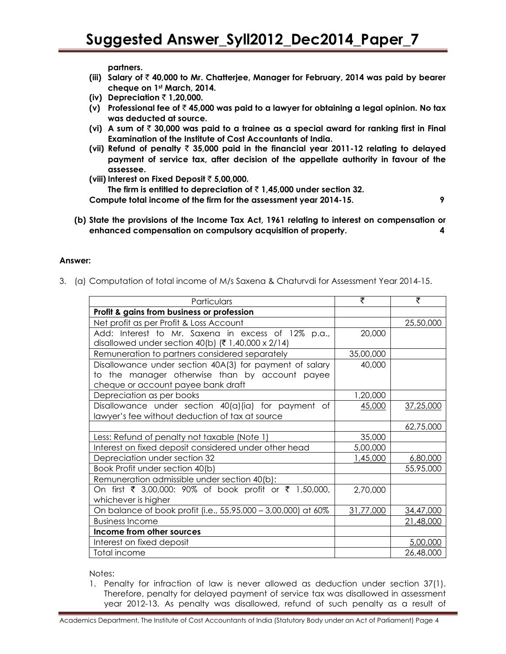**partners.**

- **(iii) Salary of** ` **40,000 to Mr. Chatterjee, Manager for February, 2014 was paid by bearer cheque on 1st March, 2014.**
- **(iv) Depreciation** ` **1,20,000.**
- **(v) Professional fee of** ` **45,000 was paid to a lawyer for obtaining a legal opinion. No tax was deducted at source.**
- (vi) A sum of  $\bar{z}$  30,000 was paid to a trainee as a special award for ranking first in Final **Examination of the Institute of Cost Accountants of India.**
- **(vii) Refund of penalty** ` **35,000 paid in the financial year 2011-12 relating to delayed payment of service tax, after decision of the appellate authority in favour of the assessee.**
- **(viii) Interest on Fixed Deposit** ` **5,00,000.** The firm is entitled to depreciation of  $\bar{\tau}$  1,45,000 under section 32. **Compute total income of the firm for the assessment year 2014-15. 9**
	-
- **(b) State the provisions of the Income Tax Act, 1961 relating to interest on compensation or enhanced compensation on compulsory acquisition of property. 4**

#### **Answer:**

3. (a) Computation of total income of M/s Saxena & Chaturvdi for Assessment Year 2014-15.

| Particulars                                                   | ₹         | ₹         |
|---------------------------------------------------------------|-----------|-----------|
| Profit & gains from business or profession                    |           |           |
| Net profit as per Profit & Loss Account                       |           | 25,50,000 |
| Add: Interest to Mr. Saxena in excess of 12% p.a.,            | 20,000    |           |
| disallowed under section 40(b) $(71,40,000 \times 2/14)$      |           |           |
| Remuneration to partners considered separately                | 35,00,000 |           |
| Disallowance under section 40A(3) for payment of salary       | 40,000    |           |
| to the manager otherwise than by account payee                |           |           |
| cheque or account payee bank draft                            |           |           |
| Depreciation as per books                                     | 1,20,000  |           |
| Disallowance under section 40(a)(ia) for payment of           | 45,000    | 37,25,000 |
| lawyer's fee without deduction of tax at source               |           |           |
|                                                               |           | 62,75,000 |
| Less: Refund of penalty not taxable (Note 1)                  | 35,000    |           |
| Interest on fixed deposit considered under other head         | 5,00,000  |           |
| Depreciation under section 32                                 | 1,45,000  | 6,80,000  |
| Book Profit under section 40(b)                               |           | 55,95,000 |
| Remuneration admissible under section 40(b):                  |           |           |
| On first ₹ 3,00,000: 90% of book profit or ₹ 1,50,000,        | 2,70,000  |           |
| whichever is higher                                           |           |           |
| On balance of book profit (i.e., 55,95,000 - 3,00,000) at 60% | 31,77,000 | 34,47,000 |
| <b>Business Income</b>                                        |           | 21,48,000 |
| Income from other sources                                     |           |           |
| Interest on fixed deposit                                     |           | 5,00,000  |
| Total income                                                  |           | 26,48,000 |

Notes:

1. Penalty for infraction of law is never allowed as deduction under section 37(1). Therefore, penalty for delayed payment of service tax was disallowed in assessment year 2012-13. As penalty was disallowed, refund of such penalty as a result of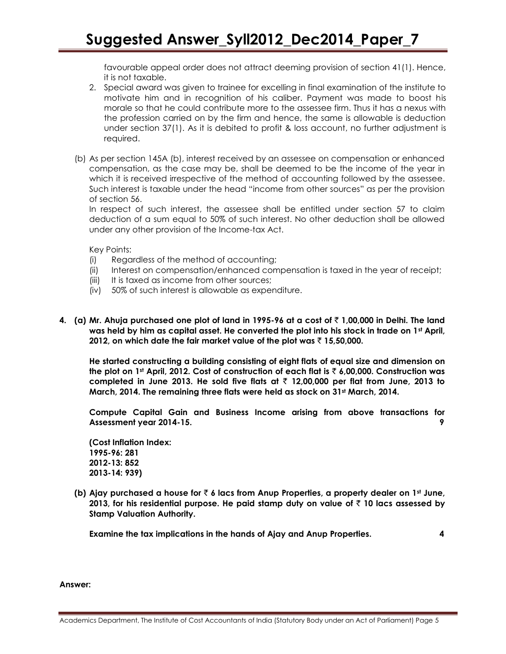favourable appeal order does not attract deeming provision of section 41(1). Hence, it is not taxable.

- 2. Special award was given to trainee for excelling in final examination of the institute to motivate him and in recognition of his caliber. Payment was made to boost his morale so that he could contribute more to the assessee firm. Thus it has a nexus with the profession carried on by the firm and hence, the same is allowable is deduction under section 37(1). As it is debited to profit & loss account, no further adjustment is required.
- (b) As per section 145A (b), interest received by an assessee on compensation or enhanced compensation, as the case may be, shall be deemed to be the income of the year in which it is received irrespective of the method of accounting followed by the assessee. Such interest is taxable under the head "income from other sources" as per the provision of section 56.

In respect of such interest, the assessee shall be entitled under section 57 to claim deduction of a sum equal to 50% of such interest. No other deduction shall be allowed under any other provision of the Income-tax Act.

Key Points:

- (i) Regardless of the method of accounting;
- (ii) Interest on compensation/enhanced compensation is taxed in the year of receipt;
- (iii) It is taxed as income from other sources;
- (iv) 50% of such interest is allowable as expenditure.
- **4. (a) Mr. Ahuja purchased one plot of land in 1995-96 at a cost of** ` **1,00,000 in Delhi. The land**  was held by him as capital asset. He converted the plot into his stock in trade on 1<sup>st</sup> April, **2012, on which date the fair market value of the plot was** ` **15,50,000.**

**He started constructing a building consisting of eight flats of equal size and dimension on the plot on 1st April, 2012. Cost of construction of each flat is** ` **6,00,000. Construction was completed in June 2013. He sold five flats at** ` **12,00,000 per flat from June, 2013 to March, 2014. The remaining three flats were held as stock on 31st March, 2014.**

**Compute Capital Gain and Business Income arising from above transactions for Assessment year 2014-15. 9**

**(Cost Inflation Index: 1995-96: 281 2012-13: 852 2013-14: 939)**

**(b) Ajay purchased a house for** ` **6 lacs from Anup Properties, a property dealer on 1st June, 2013, for his residential purpose. He paid stamp duty on value of** ` **10 lacs assessed by Stamp Valuation Authority.** 

**Examine the tax implications in the hands of Ajay and Anup Properties. 4**

**Answer:**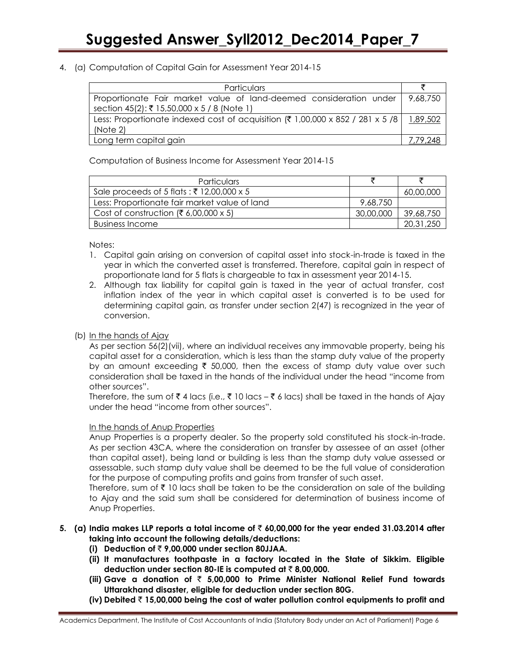#### 4. (a) Computation of Capital Gain for Assessment Year 2014-15

| Particulars                                                                               |                   |
|-------------------------------------------------------------------------------------------|-------------------|
| Proportionate Fair market value of land-deemed consideration under                        | 9,68,750          |
| section 45(2): ₹ 15,50,000 x 5 / 8 (Note 1)                                               |                   |
| Less: Proportionate indexed cost of acquisition (₹ 1,00,000 x 852 / 281 x 5 /8   1,89,502 |                   |
| (Note 2)                                                                                  |                   |
| Long term capital gain                                                                    | 7, <u>79,</u> 248 |

Computation of Business Income for Assessment Year 2014-15

| Particulars                                   |           |           |
|-----------------------------------------------|-----------|-----------|
| Sale proceeds of 5 flats: ₹ 12,00,000 x 5     |           | 60,00,000 |
| Less: Proportionate fair market value of land | 9,68,750  |           |
| Cost of construction (₹ 6,00,000 x 5)         | 30,00,000 | 39,68,750 |
| Business Income                               |           | 20,31,250 |

Notes:

- 1. Capital gain arising on conversion of capital asset into stock-in-trade is taxed in the year in which the converted asset is transferred. Therefore, capital gain in respect of proportionate land for 5 flats is chargeable to tax in assessment year 2014-15.
- 2. Although tax liability for capital gain is taxed in the year of actual transfer, cost inflation index of the year in which capital asset is converted is to be used for determining capital gain, as transfer under section 2(47) is recognized in the year of conversion.

### (b) In the hands of Ajay

As per section 56(2)(vii), where an individual receives any immovable property, being his capital asset for a consideration, which is less than the stamp duty value of the property by an amount exceeding  $\bar{\tau}$  50,000, then the excess of stamp duty value over such consideration shall be taxed in the hands of the individual under the head "income from other sources".

Therefore, the sum of  $\bar{\tau}$  4 lacs (i.e.,  $\bar{\tau}$  10 lacs –  $\bar{\tau}$  6 lacs) shall be taxed in the hands of Ajay under the head "income from other sources".

#### In the hands of Anup Properties

Anup Properties is a property dealer. So the property sold constituted his stock-in-trade. As per section 43CA, where the consideration on transfer by assessee of an asset (other than capital asset), being land or building is less than the stamp duty value assessed or assessable, such stamp duty value shall be deemed to be the full value of consideration for the purpose of computing profits and gains from transfer of such asset.

Therefore, sum of  $\bar{\tau}$  10 lacs shall be taken to be the consideration on sale of the building to Ajay and the said sum shall be considered for determination of business income of Anup Properties.

#### **5. (a) India makes LLP reports a total income of** ` **60,00,000 for the year ended 31.03.2014 after taking into account the following details/deductions:**

- **(i) Deduction of** ` **9,00,000 under section 80JJAA.**
- **(ii) It manufactures toothpaste in a factory located in the State of Sikkim. Eligible deduction under section 80-IE is computed at ₹8,00,000.**
- **(iii) Gave a donation of** ` **5,00,000 to Prime Minister National Relief Fund towards Uttarakhand disaster, eligible for deduction under section 80G.**
- **(iv) Debited** ` **15,00,000 being the cost of water pollution control equipments to profit and**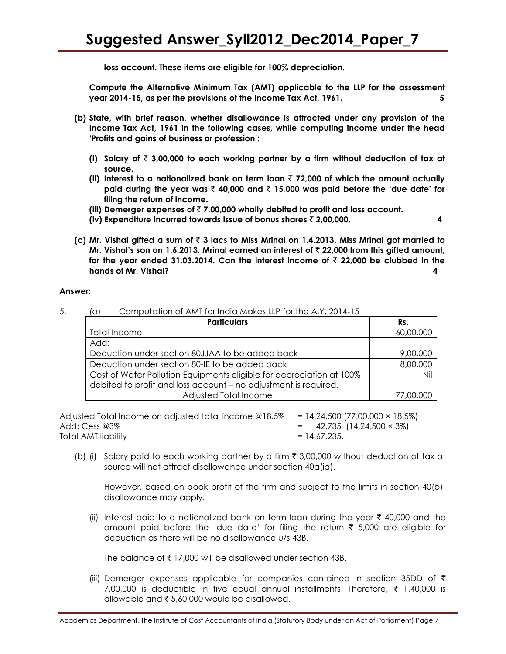**loss account. These items are eligible for 100% depreciation.** 

**Compute the Alternative Minimum Tax (AMT) applicable to the LLP for the assessment year 2014-15, as per the provisions of the Income Tax Act, 1961. 5**

- **(b) State, with brief reason, whether disallowance is attracted under any provision of the Income Tax Act, 1961 in the following cases, while computing income under the head "Profits and gains of business or profession":**
	- **(i) Salary of** ` **3,00,000 to each working partner by a firm without deduction of tax at source.**
	- (ii) Interest to a nationalized bank on term loan  $\bar{\tau}$  72,000 of which the amount actually **paid during the year was** ` **40,000 and** ` **15,000 was paid before the "due date" for filing the return of income.**
	- **(iii) Demerger expenses of** ` **7,00,000 wholly debited to profit and loss account.**
	- **(iv) Expenditure incurred towards issue of bonus shares** ` **2,00,000. 4**
- **(c) Mr. Vishal gifted a sum of** ` **3 lacs to Miss Mrinal on 1.4.2013. Miss Mrinal got married to Mr. Vishal"s son on 1.6.2013. Mrinal earned an interest of** ` **22,000 from this gifted amount,**  for the year ended 31.03.2014. Can the interest income of  $\bar{\tau}$  22,000 be clubbed in the **hands of Mr. Vishal? 4**

#### **Answer:**

| <b>Particulars</b>                                                   | Rs.       |
|----------------------------------------------------------------------|-----------|
| Total Income                                                         | 60,00,000 |
| Add:                                                                 |           |
| Deduction under section 80JJAA to be added back                      | 9,00,000  |
| Deduction under section 80-IE to be added back                       | 8,00,000  |
| Cost of Water Pollution Equipments eligible for depreciation at 100% | Nil       |
| debited to profit and loss account - no adjustment is required.      |           |
| Adjusted Total Income                                                |           |

5. (a) Computation of AMT for India Makes LLP for the A.Y. 2014-15

Adjusted Total Income on adjusted total income  $@18.5\% = 14,24,500$  (77,00,000  $\times$  18.5%) Add: Cess @3% **decays and the set of the control of the 42,735 (14,24,500 × 3%)**  $Total AMT$  liability  $= 14,67,235.$ 

(b) (i) Salary paid to each working partner by a firm  $\bar{\tau}$  3,00,000 without deduction of tax at source will not attract disallowance under section 40a(ia).

However, based on book profit of the firm and subject to the limits in section 40(b), disallowance may apply.

(ii) Interest paid to a nationalized bank on term loan during the year  $\bar{\tau}$  40,000 and the amount paid before the 'due date' for filing the return  $\bar{\tau}$  5,000 are eligible for deduction as there will be no disallowance u/s 43B.

The balance of  $\bar{\tau}$  17,000 will be disallowed under section 43B.

(iii) Demerger expenses applicable for companies contained in section 35DD of  $\bar{\tau}$ 7,00,000 is deductible in five equal annual installments. Therefore,  $\bar{\tau}$  1,40,000 is allowable and  $\bar{\tau}$  5,60,000 would be disallowed.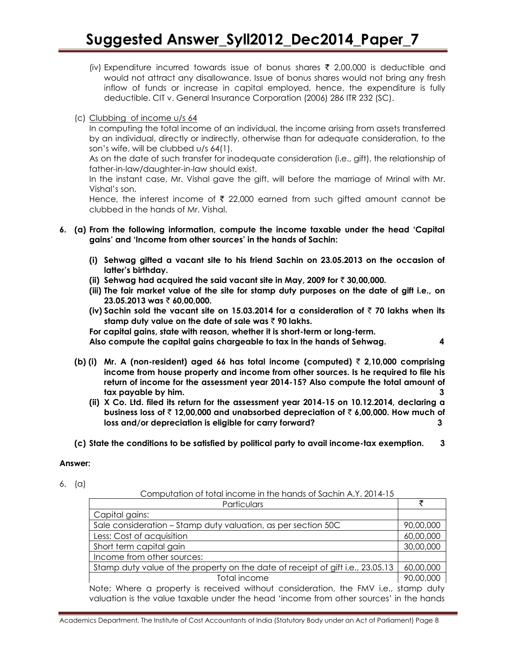# **Suggested Answer\_Syll2012\_Dec2014\_Paper\_7**

- (iv) Expenditure incurred towards issue of bonus shares  $\bar{\tau}$  2,00,000 is deductible and would not attract any disallowance. Issue of bonus shares would not bring any fresh inflow of funds or increase in capital employed, hence, the expenditure is fully deductible. CIT v. General Insurance Corporation (2006) 286 ITR 232 (SC).
- (c) Clubbing of income u/s 64

In computing the total income of an individual, the income arising from assets transferred by an individual, directly or indirectly, otherwise than for adequate consideration, to the son"s wife, will be clubbed u/s 64(1).

As on the date of such transfer for inadequate consideration (i.e., gift), the relationship of father-in-law/daughter-in-law should exist.

In the instant case, Mr. Vishal gave the gift, will before the marriage of Mrinal with Mr. Vishal"s son.

Hence, the interest income of  $\bar{\tau}$  22,000 earned from such gifted amount cannot be clubbed in the hands of Mr. Vishal.

- **6. (a) From the following information, compute the income taxable under the head "Capital gains" and "Income from other sources" in the hands of Sachin:**
	- **(i) Sehwag gifted a vacant site to his friend Sachin on 23.05.2013 on the occasion of latter"s birthday.**
	- **(ii) Sehwag had acquired the said vacant site in May, 2009 for** ` **30,00,000.**
	- **(iii) The fair market value of the site for stamp duty purposes on the date of gift i.e., on 23.05.2013 was** ` **60,00,000.**
	- **(iv) Sachin sold the vacant site on 15.03.2014 for a consideration of** ` **70 lakhs when its stamp duty value on the date of sale was** ` **90 lakhs.**

**For capital gains, state with reason, whether it is short-term or long-term.** 

**Also compute the capital gains chargeable to tax in the hands of Sehwag. 4**

- **(b) (i) Mr. A (non-resident) aged 66 has total income (computed)** ` **2,10,000 comprising income from house property and income from other sources. Is he required to file his return of income for the assessment year 2014-15? Also compute the total amount of tax payable by him. 3**
	- **(ii) X Co. Ltd. filed its return for the assessment year 2014-15 on 10.12.2014, declaring a business loss of** ` **12,00,000 and unabsorbed depreciation of** ` **6,00,000. How much of loss and/or depreciation is eligible for carry forward? 3**
- **(c) State the conditions to be satisfied by political party to avail income-tax exemption. 3**

#### **Answer:**

6. (a)

Computation of total income in the hands of Sachin A.Y. 2014-15

| Particulars                                                                        |           |
|------------------------------------------------------------------------------------|-----------|
| Capital gains:                                                                     |           |
| Sale consideration - Stamp duty valuation, as per section 50C                      | 90,00,000 |
| Less: Cost of acquisition                                                          | 60,00,000 |
| Short term capital gain                                                            | 30,00,000 |
| Income from other sources:                                                         |           |
| Stamp duty value of the property on the date of receipt of gift i.e., 23.05.13     | 60,00,000 |
| Total income                                                                       | 90,00,000 |
| Note: Where a property is received without consideration, the FMV i.e., stamp duty |           |

valuation is the value taxable under the head "income from other sources" in the hands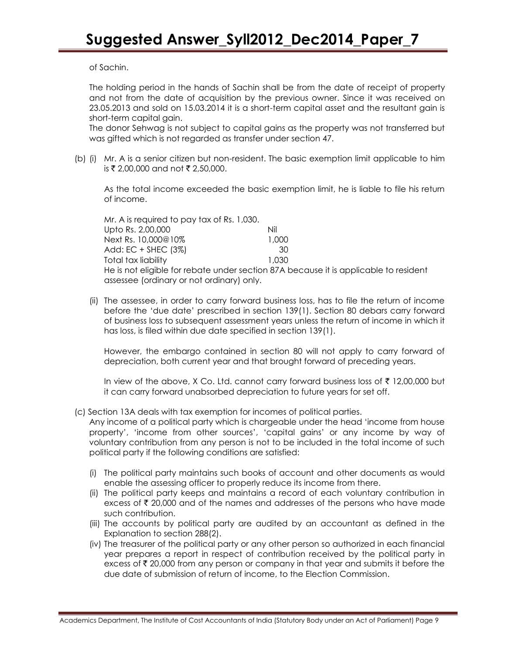of Sachin.

The holding period in the hands of Sachin shall be from the date of receipt of property and not from the date of acquisition by the previous owner. Since it was received on 23.05.2013 and sold on 15.03.2014 it is a short-term capital asset and the resultant gain is short-term capital gain.

The donor Sehwag is not subject to capital gains as the property was not transferred but was gifted which is not regarded as transfer under section 47.

(b) (i) Mr. A is a senior citizen but non-resident. The basic exemption limit applicable to him is ₹ 2,00,000 and not ₹ 2,50,000.

As the total income exceeded the basic exemption limit, he is liable to file his return of income.

Mr. A is required to pay tax of Rs. 1,030. Upto Rs. 2,00,000 Nil Next Rs. 10,000@10% 1,000 Add: EC + SHEC (3%) 30 Total tax liability 1,030 He is not eligible for rebate under section 87A because it is applicable to resident assessee (ordinary or not ordinary) only.

(ii) The assessee, in order to carry forward business loss, has to file the return of income before the "due date" prescribed in section 139(1). Section 80 debars carry forward of business loss to subsequent assessment years unless the return of income in which it has loss, is filed within due date specified in section 139(1).

However, the embargo contained in section 80 will not apply to carry forward of depreciation, both current year and that brought forward of preceding years.

In view of the above, X Co. Ltd. cannot carry forward business loss of  $\bar{\tau}$  12,00,000 but it can carry forward unabsorbed depreciation to future years for set off.

(c) Section 13A deals with tax exemption for incomes of political parties.

Any income of a political party which is chargeable under the head "income from house property", "income from other sources", "capital gains" or any income by way of voluntary contribution from any person is not to be included in the total income of such political party if the following conditions are satisfied:

- (i) The political party maintains such books of account and other documents as would enable the assessing officer to properly reduce its income from there.
- (ii) The political party keeps and maintains a record of each voluntary contribution in excess of  $\bar{\tau}$  20,000 and of the names and addresses of the persons who have made such contribution.
- (iii) The accounts by political party are audited by an accountant as defined in the Explanation to section 288(2).
- (iv) The treasurer of the political party or any other person so authorized in each financial year prepares a report in respect of contribution received by the political party in excess of  $\bar{\tau}$  20,000 from any person or company in that year and submits it before the due date of submission of return of income, to the Election Commission.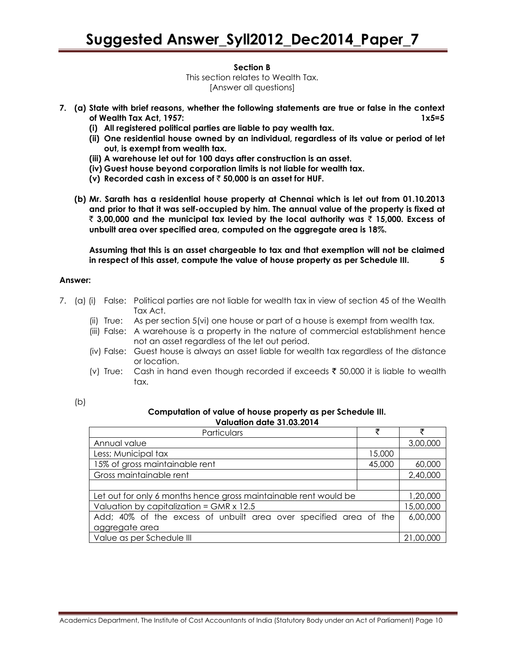#### **Section B**

This section relates to Wealth Tax. [Answer all questions]

- **7. (a) State with brief reasons, whether the following statements are true or false in the context of Wealth Tax Act, 1957: 1x5=5**
	- **(i) All registered political parties are liable to pay wealth tax.**
	- **(ii) One residential house owned by an individual, regardless of its value or period of let out, is exempt from wealth tax.**
	- **(iii) A warehouse let out for 100 days after construction is an asset.**
	- **(iv) Guest house beyond corporation limits is not liable for wealth tax.**
	- (v) Recorded cash in excess of  $\bar{\tau}$  50,000 is an asset for HUF.
	- **(b) Mr. Sarath has a residential house property at Chennai which is let out from 01.10.2013 and prior to that it was self-occupied by him. The annual value of the property is fixed at**  ` **3,00,000 and the municipal tax levied by the local authority was** ` **15,000. Excess of unbuilt area over specified area, computed on the aggregate area is 18%.**

**Assuming that this is an asset chargeable to tax and that exemption will not be claimed in respect of this asset, compute the value of house property as per Schedule III. 5**

#### **Answer:**

- 7. (a) (i) False: Political parties are not liable for wealth tax in view of section 45 of the Wealth Tax Act.
	- (ii) True: As per section 5(vi) one house or part of a house is exempt from wealth tax.
	- (iii) False: A warehouse is a property in the nature of commercial establishment hence not an asset regardless of the let out period.
	- (iv) False: Guest house is always an asset liable for wealth tax regardless of the distance or location.
	- (v) True: Cash in hand even though recorded if exceeds  $\bar{\tau}$  50,000 it is liable to wealth tax.

| . .                    |  |
|------------------------|--|
| I<br>٠<br>۰.<br>$\sim$ |  |

#### **Computation of value of house property as per Schedule III. Valuation date 31.03.2014**

| Particulars                                                       | ₹      |           |
|-------------------------------------------------------------------|--------|-----------|
| Annual value                                                      |        | 3,00,000  |
| Less; Municipal tax                                               | 15,000 |           |
| 15% of gross maintainable rent                                    | 45,000 | 60,000    |
| Gross maintainable rent                                           |        | 2,40,000  |
|                                                                   |        |           |
| Let out for only 6 months hence gross maintainable rent would be  |        | 1,20,000  |
| Valuation by capitalization = $GMR \times 12.5$                   |        | 15,00,000 |
| Add; 40% of the excess of unbuilt area over specified area of the |        | 6,00,000  |
| aggregate area                                                    |        |           |
| Value as per Schedule III                                         |        | 21,00,000 |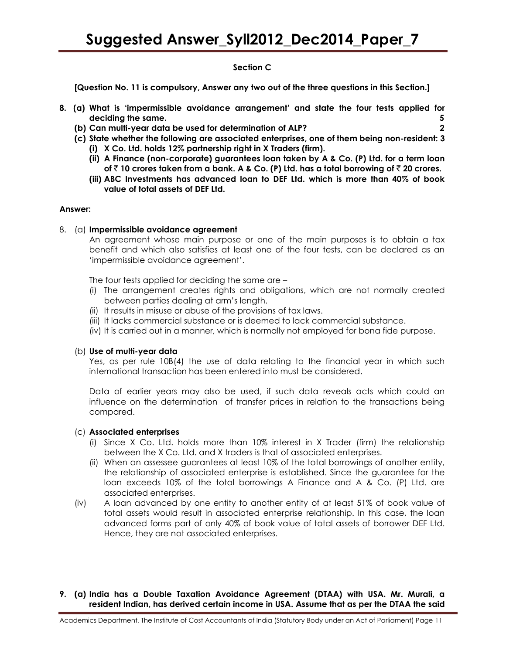#### **Section C**

**[Question No. 11 is compulsory, Answer any two out of the three questions in this Section.]**

- **8. (a) What is "impermissible avoidance arrangement" and state the four tests applied for deciding the same. 5**
	- **(b) Can multi-year data be used for determination of ALP? 2**
	- **(c) State whether the following are associated enterprises, one of them being non-resident: 3**
		- **(i) X Co. Ltd. holds 12% partnership right in X Traders (firm).**
		- **(ii) A Finance (non-corporate) guarantees loan taken by A & Co. (P) Ltd. for a term loan of** ` **10 crores taken from a bank. A & Co. (P) Ltd. has a total borrowing of** ` **20 crores.**
		- **(iii) ABC Investments has advanced loan to DEF Ltd. which is more than 40% of book value of total assets of DEF Ltd.**

#### **Answer:**

#### 8. (a) **Impermissible avoidance agreement**

An agreement whose main purpose or one of the main purposes is to obtain a tax benefit and which also satisfies at least one of the four tests, can be declared as an "impermissible avoidance agreement".

The four tests applied for deciding the same are –

- (i) The arrangement creates rights and obligations, which are not normally created between parties dealing at arm"s length.
- (ii) It results in misuse or abuse of the provisions of tax laws.
- (iii) It lacks commercial substance or is deemed to lack commercial substance.
- (iv) It is carried out in a manner, which is normally not employed for bona fide purpose.

#### (b) **Use of multi-year data**

Yes, as per rule 10B(4) the use of data relating to the financial year in which such international transaction has been entered into must be considered.

Data of earlier years may also be used, if such data reveals acts which could an influence on the determination of transfer prices in relation to the transactions being compared.

#### (c) **Associated enterprises**

- (i) Since X Co. Ltd. holds more than 10% interest in X Trader (firm) the relationship between the X Co. Ltd. and X traders is that of associated enterprises.
- (ii) When an assessee guarantees at least 10% of the total borrowings of another entity, the relationship of associated enterprise is established. Since the guarantee for the loan exceeds 10% of the total borrowings A Finance and A & Co. (P) Ltd. are associated enterprises.
- (iv) A loan advanced by one entity to another entity of at least 51% of book value of total assets would result in associated enterprise relationship. In this case, the loan advanced forms part of only 40% of book value of total assets of borrower DEF Ltd. Hence, they are not associated enterprises.

#### **9. (a) India has a Double Taxation Avoidance Agreement (DTAA) with USA. Mr. Murali, a resident Indian, has derived certain income in USA. Assume that as per the DTAA the said**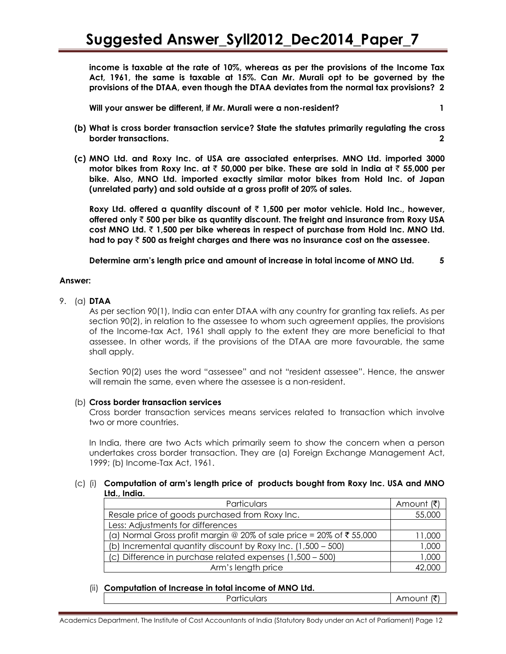**income is taxable at the rate of 10%, whereas as per the provisions of the Income Tax Act, 1961, the same is taxable at 15%. Can Mr. Murali opt to be governed by the provisions of the DTAA, even though the DTAA deviates from the normal tax provisions? 2**

**Will your answer be different, if Mr. Murali were a non-resident? 1**

- **(b) What is cross border transaction service? State the statutes primarily regulating the cross border transactions. 2**
- **(c) MNO Ltd. and Roxy Inc. of USA are associated enterprises. MNO Ltd. imported 3000 motor bikes from Roxy Inc. at** ` **50,000 per bike. These are sold in India at** ` **55,000 per bike. Also, MNO Ltd. imported exactly similar motor bikes from Hold Inc. of Japan (unrelated party) and sold outside at a gross profit of 20% of sales.**

**Roxy Ltd. offered a quantity discount of** ` **1,500 per motor vehicle. Hold Inc., however, offered only** ` **500 per bike as quantity discount. The freight and insurance from Roxy USA cost MNO Ltd.** ` **1,500 per bike whereas in respect of purchase from Hold Inc. MNO Ltd. had to pay** ` **500 as freight charges and there was no insurance cost on the assessee.** 

**Determine arm"s length price and amount of increase in total income of MNO Ltd. 5**

#### **Answer:**

#### 9. (a) **DTAA**

As per section 90(1), India can enter DTAA with any country for granting tax reliefs. As per section 90(2), in relation to the assessee to whom such agreement applies, the provisions of the Income-tax Act, 1961 shall apply to the extent they are more beneficial to that assessee. In other words, if the provisions of the DTAA are more favourable, the same shall apply.

Section 90(2) uses the word "assessee" and not "resident assessee". Hence, the answer will remain the same, even where the assessee is a non-resident.

#### (b) **Cross border transaction services**

Cross border transaction services means services related to transaction which involve two or more countries.

In India, there are two Acts which primarily seem to show the concern when a person undertakes cross border transaction. They are (a) Foreign Exchange Management Act, 1999; (b) Income-Tax Act, 1961.

#### (c) (i) **Computation of arm"s length price of products bought from Roxy Inc. USA and MNO Ltd., India.**

| Particulars                                                            | Amount (₹) |
|------------------------------------------------------------------------|------------|
| Resale price of goods purchased from Roxy Inc.                         | 55,000     |
| Less: Adjustments for differences                                      |            |
| (a) Normal Gross profit margin $@$ 20% of sale price = 20% of ₹ 55,000 | 11,000     |
| (b) Incremental quantity discount by Roxy Inc. (1,500 – 500)           | 1,000      |
| (c) Difference in purchase related expenses (1,500 - 500)              | 1,000      |
| Arm's length price                                                     |            |

#### (ii) **Computation of Increase in total income of MNO Ltd.**

| 'articulars | l₹<br>∖mo∪nt |
|-------------|--------------|
|             |              |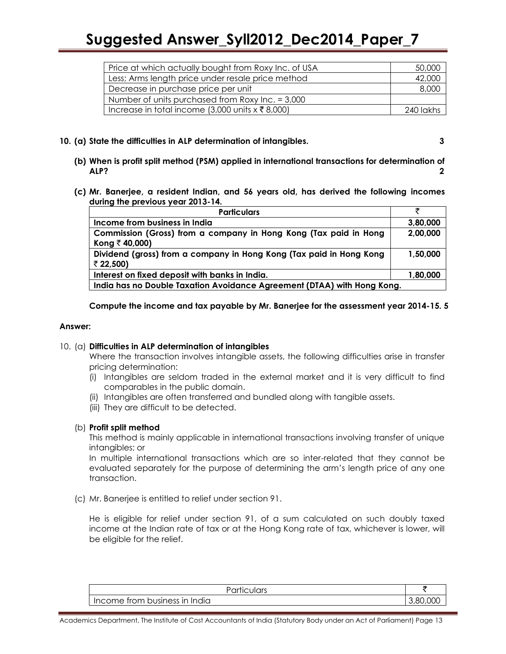## **Suggested Answer\_Syll2012\_Dec2014\_Paper\_7**

| Price at which actually bought from Roxy Inc. of USA     | 50,000    |
|----------------------------------------------------------|-----------|
| Less; Arms length price under resale price method        | 42,000    |
| Decrease in purchase price per unit                      | 8,000     |
| Number of units purchased from Roxy Inc. $= 3,000$       |           |
| Increase in total income (3,000 units $x \bar{z}$ 8,000) | 240 lakhs |

#### **10. (a) State the difficulties in ALP determination of intangibles. 3**

- **(b) When is profit split method (PSM) applied in international transactions for determination of ALP? 2**
- **(c) Mr. Banerjee, a resident Indian, and 56 years old, has derived the following incomes during the previous year 2013-14.**

| <b>Particulars</b>                                                                 |          |  |
|------------------------------------------------------------------------------------|----------|--|
| Income from business in India                                                      | 3,80,000 |  |
| Commission (Gross) from a company in Hong Kong (Tax paid in Hong<br>Kong ₹ 40,000) | 2,00,000 |  |
| Dividend (gross) from a company in Hong Kong (Tax paid in Hong Kong<br>₹ 22,500)   | 1,50,000 |  |
| Interest on fixed deposit with banks in India.                                     | 1,80,000 |  |
| India has no Double Taxation Avoidance Agreement (DTAA) with Hong Kong.            |          |  |

**Compute the income and tax payable by Mr. Banerjee for the assessment year 2014-15. 5**

#### **Answer:**

#### 10. (a) **Difficulties in ALP determination of intangibles**

Where the transaction involves intangible assets, the following difficulties arise in transfer pricing determination:

- (i) Intangibles are seldom traded in the external market and it is very difficult to find comparables in the public domain.
- (ii) Intangibles are often transferred and bundled along with tangible assets.
- (iii) They are difficult to be detected.

#### (b) **Profit split method**

This method is mainly applicable in international transactions involving transfer of unique intangibles; or

In multiple international transactions which are so inter-related that they cannot be evaluated separately for the purpose of determining the arm"s length price of any one transaction.

(c) Mr. Banerjee is entitled to relief under section 91.

He is eligible for relief under section 91, of a sum calculated on such doubly taxed income at the Indian rate of tax or at the Hong Kong rate of tax, whichever is lower, will be eligible for the relief.

| Particulars                   |                              |
|-------------------------------|------------------------------|
| Income from business in India | $\sim$ $\sim$ $\sim$<br>. RC |